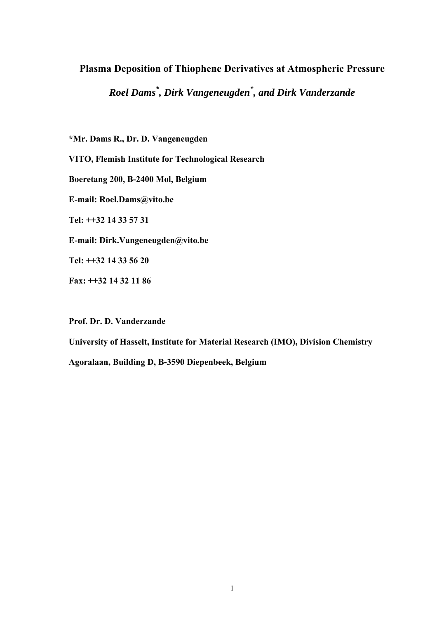# **Plasma Deposition of Thiophene Derivatives at Atmospheric Pressure**

*Roel Dams \* , Dirk Vangeneugden\* , and Dirk Vanderzande* 

**\*Mr. Dams R., Dr. D. Vangeneugden** 

**VITO, Flemish Institute for Technological Research** 

**Boeretang 200, B-2400 Mol, Belgium** 

**E-mail: Roel.Dams@vito.be** 

**Tel: ++32 14 33 57 31** 

**E-mail: Dirk.Vangeneugden@vito.be** 

**Tel: ++32 14 33 56 20** 

**Fax: ++32 14 32 11 86** 

**Prof. Dr. D. Vanderzande** 

**University of Hasselt, Institute for Material Research (IMO), Division Chemistry Agoralaan, Building D, B-3590 Diepenbeek, Belgium**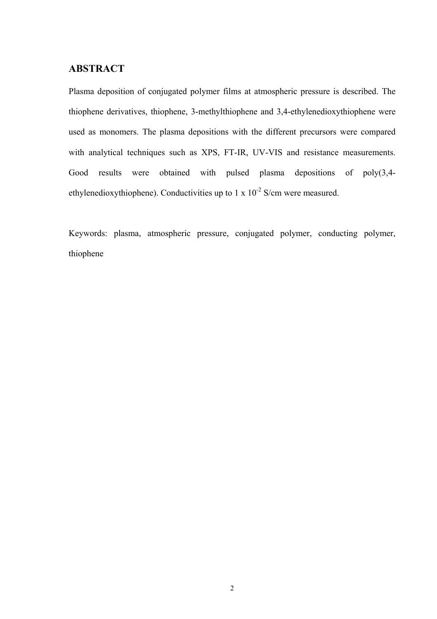# **ABSTRACT**

Plasma deposition of conjugated polymer films at atmospheric pressure is described. The thiophene derivatives, thiophene, 3-methylthiophene and 3,4-ethylenedioxythiophene were used as monomers. The plasma depositions with the different precursors were compared with analytical techniques such as XPS, FT-IR, UV-VIS and resistance measurements. Good results were obtained with pulsed plasma depositions of poly(3,4 ethylenedioxythiophene). Conductivities up to 1 x  $10^{-2}$  S/cm were measured.

Keywords: plasma, atmospheric pressure, conjugated polymer, conducting polymer, thiophene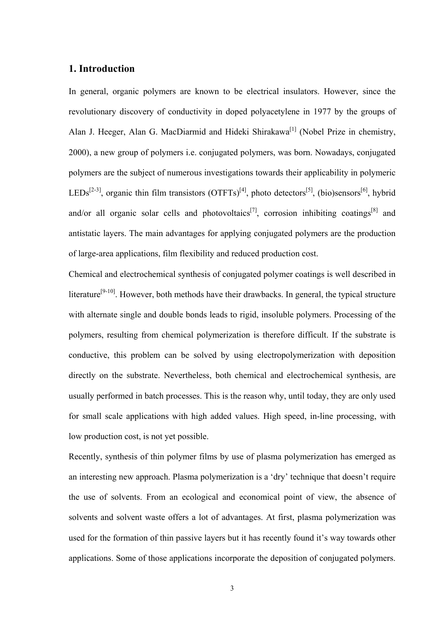## **1. Introduction**

In general, organic polymers are known to be electrical insulators. However, since the revolutionary discovery of conductivity in doped polyacetylene in 1977 by the groups of Alan J. Heeger, Alan G. MacDiarmid and Hideki Shirakawa<sup>[1]</sup> (Nobel Prize in chemistry, 2000), a new group of polymers i.e. conjugated polymers, was born. Nowadays, conjugated polymers are the subject of numerous investigations towards their applicability in polymeric LEDs<sup>[2-3]</sup>, organic thin film transistors (OTFTs)<sup>[4]</sup>, photo detectors<sup>[5]</sup>, (bio)sensors<sup>[6]</sup>, hybrid and/or all organic solar cells and photovoltaics<sup>[7]</sup>, corrosion inhibiting coatings<sup>[8]</sup> and antistatic layers. The main advantages for applying conjugated polymers are the production of large-area applications, film flexibility and reduced production cost.

Chemical and electrochemical synthesis of conjugated polymer coatings is well described in literature<sup>[9-10]</sup>. However, both methods have their drawbacks. In general, the typical structure with alternate single and double bonds leads to rigid, insoluble polymers. Processing of the polymers, resulting from chemical polymerization is therefore difficult. If the substrate is conductive, this problem can be solved by using electropolymerization with deposition directly on the substrate. Nevertheless, both chemical and electrochemical synthesis, are usually performed in batch processes. This is the reason why, until today, they are only used for small scale applications with high added values. High speed, in-line processing, with low production cost, is not yet possible.

Recently, synthesis of thin polymer films by use of plasma polymerization has emerged as an interesting new approach. Plasma polymerization is a 'dry' technique that doesn't require the use of solvents. From an ecological and economical point of view, the absence of solvents and solvent waste offers a lot of advantages. At first, plasma polymerization was used for the formation of thin passive layers but it has recently found it's way towards other applications. Some of those applications incorporate the deposition of conjugated polymers.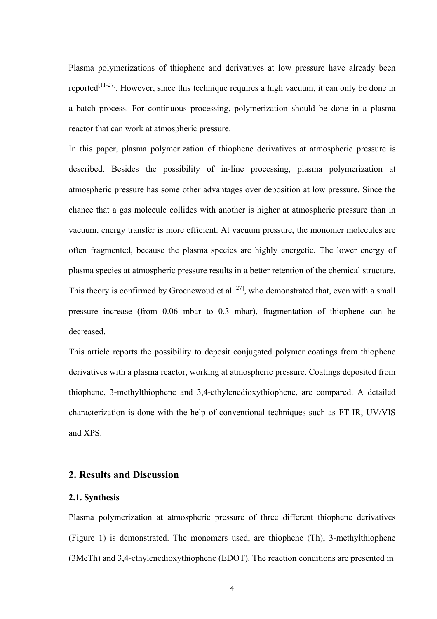Plasma polymerizations of thiophene and derivatives at low pressure have already been reported<sup>[11-27]</sup>. However, since this technique requires a high vacuum, it can only be done in a batch process. For continuous processing, polymerization should be done in a plasma reactor that can work at atmospheric pressure.

In this paper, plasma polymerization of thiophene derivatives at atmospheric pressure is described. Besides the possibility of in-line processing, plasma polymerization at atmospheric pressure has some other advantages over deposition at low pressure. Since the chance that a gas molecule collides with another is higher at atmospheric pressure than in vacuum, energy transfer is more efficient. At vacuum pressure, the monomer molecules are often fragmented, because the plasma species are highly energetic. The lower energy of plasma species at atmospheric pressure results in a better retention of the chemical structure. This theory is confirmed by Groenewoud et al.<sup>[27]</sup>, who demonstrated that, even with a small pressure increase (from 0.06 mbar to 0.3 mbar), fragmentation of thiophene can be decreased.

This article reports the possibility to deposit conjugated polymer coatings from thiophene derivatives with a plasma reactor, working at atmospheric pressure. Coatings deposited from thiophene, 3-methylthiophene and 3,4-ethylenedioxythiophene, are compared. A detailed characterization is done with the help of conventional techniques such as FT-IR, UV/VIS and XPS.

## **2. Results and Discussion**

#### **2.1. Synthesis**

Plasma polymerization at atmospheric pressure of three different thiophene derivatives (Figure 1) is demonstrated. The monomers used, are thiophene (Th), 3-methylthiophene (3MeTh) and 3,4-ethylenedioxythiophene (EDOT). The reaction conditions are presented in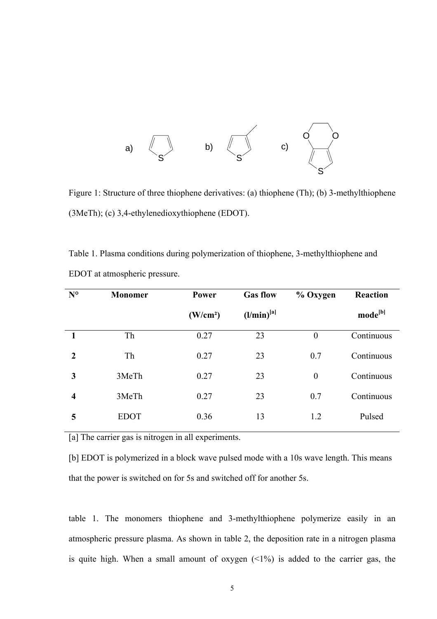

Figure 1: Structure of three thiophene derivatives: (a) thiophene (Th); (b) 3-methylthiophene (3MeTh); (c) 3,4-ethylenedioxythiophene (EDOT).

Table 1. Plasma conditions during polymerization of thiophene, 3-methylthiophene and EDOT at atmospheric pressure.

| $N^{\circ}$             | <b>Monomer</b> | Power                | <b>Gas flow</b> | % Oxygen         | <b>Reaction</b>     |
|-------------------------|----------------|----------------------|-----------------|------------------|---------------------|
|                         |                | (W/cm <sup>2</sup> ) | $(l/min)^{[a]}$ |                  | mode <sup>[b]</sup> |
|                         | Th             | 0.27                 | 23              | $\boldsymbol{0}$ | Continuous          |
| $\mathbf{2}$            | Th             | 0.27                 | 23              | 0.7              | Continuous          |
| 3                       | 3MeTh          | 0.27                 | 23              | $\boldsymbol{0}$ | Continuous          |
| $\overline{\mathbf{4}}$ | 3MeTh          | 0.27                 | 23              | 0.7              | Continuous          |
| 5                       | <b>EDOT</b>    | 0.36                 | 13              | 1.2              | Pulsed              |

[a] The carrier gas is nitrogen in all experiments.

[b] EDOT is polymerized in a block wave pulsed mode with a 10s wave length. This means that the power is switched on for 5s and switched off for another 5s.

table 1. The monomers thiophene and 3-methylthiophene polymerize easily in an atmospheric pressure plasma. As shown in table 2, the deposition rate in a nitrogen plasma is quite high. When a small amount of oxygen  $(1\%)$  is added to the carrier gas, the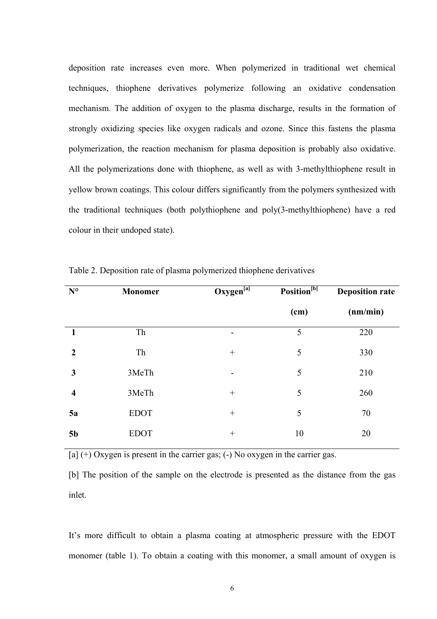deposition rate increases even more. When polymerized in traditional wet chemical techniques, thiophene derivatives polymerize following an oxidative condensation mechanism. The addition of oxygen to the plasma discharge, results in the formation of strongly oxidizing species like oxygen radicals and ozone. Since this fastens the plasma polymerization, the reaction mechanism for plasma deposition is probably also oxidative. All the polymerizations done with thiophene, as well as with 3-methylthiophene result in yellow brown coatings. This colour differs significantly from the polymers synthesized with the traditional techniques (both polythiophene and poly(3-methylthiophene) have a red colour in their undoped state).

| $N^{\circ}$             | Monomer     | $Oxygen^{[a]}$ | Position <sup>[b]</sup> | <b>Deposition rate</b> |
|-------------------------|-------------|----------------|-------------------------|------------------------|
|                         |             |                | (cm)                    | (nm/min)               |
| 1                       | Th          |                | 5                       | 220                    |
| $\overline{2}$          | Th          | $^{+}$         | 5                       | 330                    |
| 3                       | 3MeTh       |                | 5                       | 210                    |
| $\overline{\mathbf{4}}$ | 3MeTh       | $^{+}$         | 5                       | 260                    |
| 5a                      | <b>EDOT</b> | $^{+}$         | 5                       | 70                     |
| 5 <sub>b</sub>          | <b>EDOT</b> | $^{+}$         | 10                      | 20                     |

Table 2. Deposition rate of plasma polymerized thiophene derivatives

 $[a]$  (+) Oxygen is present in the carrier gas; (-) No oxygen in the carrier gas.

[b] The position of the sample on the electrode is presented as the distance from the gas inlet.

It's more difficult to obtain a plasma coating at atmospheric pressure with the EDOT monomer (table 1). To obtain a coating with this monomer, a small amount of oxygen is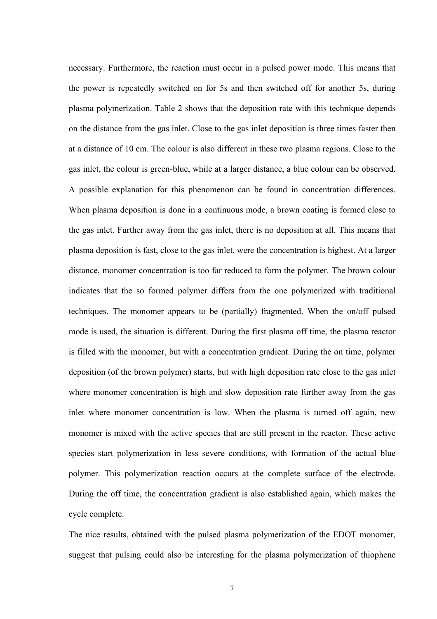necessary. Furthermore, the reaction must occur in a pulsed power mode. This means that the power is repeatedly switched on for 5s and then switched off for another 5s, during plasma polymerization. Table 2 shows that the deposition rate with this technique depends on the distance from the gas inlet. Close to the gas inlet deposition is three times faster then at a distance of 10 cm. The colour is also different in these two plasma regions. Close to the gas inlet, the colour is green-blue, while at a larger distance, a blue colour can be observed. A possible explanation for this phenomenon can be found in concentration differences. When plasma deposition is done in a continuous mode, a brown coating is formed close to the gas inlet. Further away from the gas inlet, there is no deposition at all. This means that plasma deposition is fast, close to the gas inlet, were the concentration is highest. At a larger distance, monomer concentration is too far reduced to form the polymer. The brown colour indicates that the so formed polymer differs from the one polymerized with traditional techniques. The monomer appears to be (partially) fragmented. When the on/off pulsed mode is used, the situation is different. During the first plasma off time, the plasma reactor is filled with the monomer, but with a concentration gradient. During the on time, polymer deposition (of the brown polymer) starts, but with high deposition rate close to the gas inlet where monomer concentration is high and slow deposition rate further away from the gas inlet where monomer concentration is low. When the plasma is turned off again, new monomer is mixed with the active species that are still present in the reactor. These active species start polymerization in less severe conditions, with formation of the actual blue polymer. This polymerization reaction occurs at the complete surface of the electrode. During the off time, the concentration gradient is also established again, which makes the cycle complete.

The nice results, obtained with the pulsed plasma polymerization of the EDOT monomer, suggest that pulsing could also be interesting for the plasma polymerization of thiophene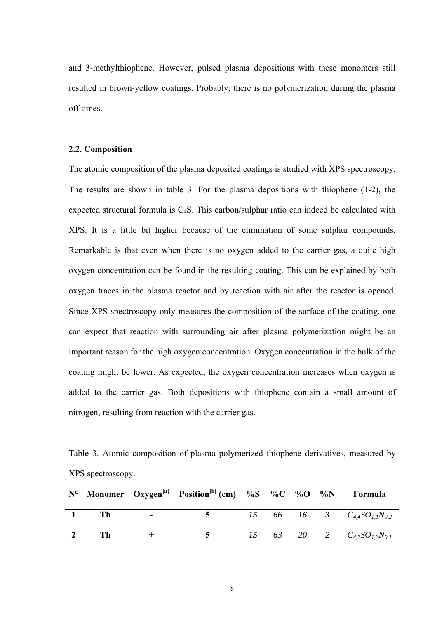and 3-methylthiophene. However, pulsed plasma depositions with these monomers still resulted in brown-yellow coatings. Probably, there is no polymerization during the plasma off times.

## **2.2. Composition**

The atomic composition of the plasma deposited coatings is studied with XPS spectroscopy. The results are shown in table 3. For the plasma depositions with thiophene (1-2), the expected structural formula is C4S. This carbon/sulphur ratio can indeed be calculated with XPS. It is a little bit higher because of the elimination of some sulphur compounds. Remarkable is that even when there is no oxygen added to the carrier gas, a quite high oxygen concentration can be found in the resulting coating. This can be explained by both oxygen traces in the plasma reactor and by reaction with air after the reactor is opened. Since XPS spectroscopy only measures the composition of the surface of the coating, one can expect that reaction with surrounding air after plasma polymerization might be an important reason for the high oxygen concentration. Oxygen concentration in the bulk of the coating might be lower. As expected, the oxygen concentration increases when oxygen is added to the carrier gas. Both depositions with thiophene contain a small amount of nitrogen, resulting from reaction with the carrier gas.

Table 3. Atomic composition of plasma polymerized thiophene derivatives, measured by XPS spectroscopy.

|      |                          | N° Monomer Oxygen <sup>[a]</sup> Position <sup>[b]</sup> (cm) %S %C %O %N Formula |  |  |                                     |
|------|--------------------------|-----------------------------------------------------------------------------------|--|--|-------------------------------------|
| - Th | <b>Contract Contract</b> | $\sim$ $\sim$                                                                     |  |  | 15 66 16 3 $C_{4,4}SO_{1,1}N_{0,2}$ |
| Th   |                          | $\sim$ 5                                                                          |  |  | 15 63 20 2 $C_{4,2}SO_{1,3}N_{0,1}$ |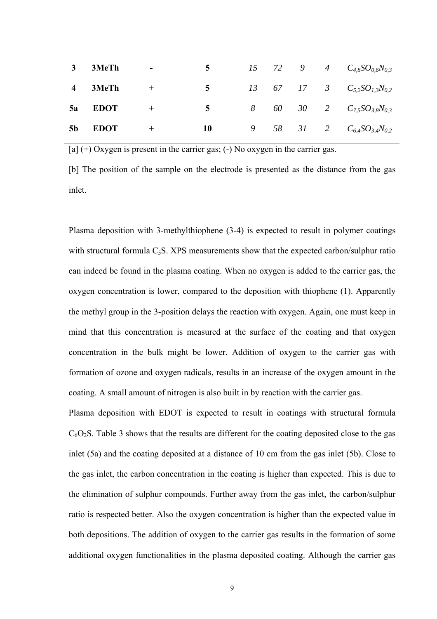| 3              | 3MeTh       | $\blacksquare$ | 5 <sup>7</sup> |  |  | 15 72 9 4 $C_{4.8}SO_{0.6}N_{0.3}$  |
|----------------|-------------|----------------|----------------|--|--|-------------------------------------|
|                | 4 3MeTh     | $^{+}$         | $5^{\circ}$    |  |  | 13 67 17 3 $C_{5,2}SO_{1,3}N_{0,2}$ |
|                | 5a EDOT     | $^{+}$         | $5^{\circ}$    |  |  | 8 60 30 2 $C_{7,5}SO_{3,8}N_{0,3}$  |
| 5 <sub>b</sub> | <b>EDOT</b> | $\pm$          | 10             |  |  | 9 58 31 2 $C_{6,4}SO_{3,4}N_{0,2}$  |

 $[a]$  (+) Oxygen is present in the carrier gas; (-) No oxygen in the carrier gas.

[b] The position of the sample on the electrode is presented as the distance from the gas inlet.

Plasma deposition with 3-methylthiophene (3-4) is expected to result in polymer coatings with structural formula  $C_5S$ . XPS measurements show that the expected carbon/sulphur ratio can indeed be found in the plasma coating. When no oxygen is added to the carrier gas, the oxygen concentration is lower, compared to the deposition with thiophene (1). Apparently the methyl group in the 3-position delays the reaction with oxygen. Again, one must keep in mind that this concentration is measured at the surface of the coating and that oxygen concentration in the bulk might be lower. Addition of oxygen to the carrier gas with formation of ozone and oxygen radicals, results in an increase of the oxygen amount in the coating. A small amount of nitrogen is also built in by reaction with the carrier gas.

Plasma deposition with EDOT is expected to result in coatings with structural formula  $C_6O_2S$ . Table 3 shows that the results are different for the coating deposited close to the gas inlet (5a) and the coating deposited at a distance of 10 cm from the gas inlet (5b). Close to the gas inlet, the carbon concentration in the coating is higher than expected. This is due to the elimination of sulphur compounds. Further away from the gas inlet, the carbon/sulphur ratio is respected better. Also the oxygen concentration is higher than the expected value in both depositions. The addition of oxygen to the carrier gas results in the formation of some additional oxygen functionalities in the plasma deposited coating. Although the carrier gas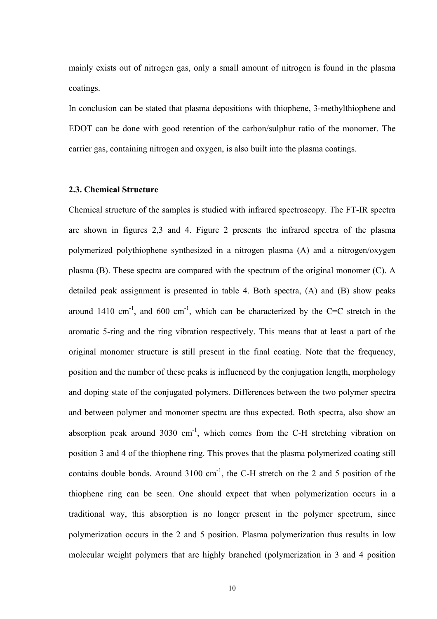mainly exists out of nitrogen gas, only a small amount of nitrogen is found in the plasma coatings.

In conclusion can be stated that plasma depositions with thiophene, 3-methylthiophene and EDOT can be done with good retention of the carbon/sulphur ratio of the monomer. The carrier gas, containing nitrogen and oxygen, is also built into the plasma coatings.

#### **2.3. Chemical Structure**

Chemical structure of the samples is studied with infrared spectroscopy. The FT-IR spectra are shown in figures 2,3 and 4. Figure 2 presents the infrared spectra of the plasma polymerized polythiophene synthesized in a nitrogen plasma (A) and a nitrogen/oxygen plasma (B). These spectra are compared with the spectrum of the original monomer (C). A detailed peak assignment is presented in table 4. Both spectra, (A) and (B) show peaks around 1410 cm<sup>-1</sup>, and 600 cm<sup>-1</sup>, which can be characterized by the C=C stretch in the aromatic 5-ring and the ring vibration respectively. This means that at least a part of the original monomer structure is still present in the final coating. Note that the frequency, position and the number of these peaks is influenced by the conjugation length, morphology and doping state of the conjugated polymers. Differences between the two polymer spectra and between polymer and monomer spectra are thus expected. Both spectra, also show an absorption peak around  $3030 \text{ cm}^{-1}$ , which comes from the C-H stretching vibration on position 3 and 4 of the thiophene ring. This proves that the plasma polymerized coating still contains double bonds. Around  $3100 \text{ cm}^{-1}$ , the C-H stretch on the 2 and 5 position of the thiophene ring can be seen. One should expect that when polymerization occurs in a traditional way, this absorption is no longer present in the polymer spectrum, since polymerization occurs in the 2 and 5 position. Plasma polymerization thus results in low molecular weight polymers that are highly branched (polymerization in 3 and 4 position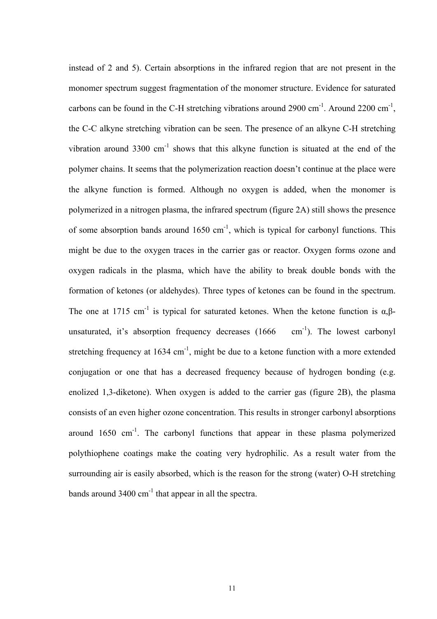instead of 2 and 5). Certain absorptions in the infrared region that are not present in the monomer spectrum suggest fragmentation of the monomer structure. Evidence for saturated carbons can be found in the C-H stretching vibrations around 2900 cm<sup>-1</sup>. Around 2200 cm<sup>-1</sup>, the C-C alkyne stretching vibration can be seen. The presence of an alkyne C-H stretching vibration around  $3300 \text{ cm}^{-1}$  shows that this alkyne function is situated at the end of the polymer chains. It seems that the polymerization reaction doesn't continue at the place were the alkyne function is formed. Although no oxygen is added, when the monomer is polymerized in a nitrogen plasma, the infrared spectrum (figure 2A) still shows the presence of some absorption bands around  $1650 \text{ cm}^{-1}$ , which is typical for carbonyl functions. This might be due to the oxygen traces in the carrier gas or reactor. Oxygen forms ozone and oxygen radicals in the plasma, which have the ability to break double bonds with the formation of ketones (or aldehydes). Three types of ketones can be found in the spectrum. The one at 1715 cm<sup>-1</sup> is typical for saturated ketones. When the ketone function is  $\alpha$ ,  $\beta$ unsaturated, it's absorption frequency decreases  $(1666 \text{ cm}^{-1})$ . The lowest carbonyl stretching frequency at  $1634 \text{ cm}^{-1}$ , might be due to a ketone function with a more extended conjugation or one that has a decreased frequency because of hydrogen bonding (e.g. enolized 1,3-diketone). When oxygen is added to the carrier gas (figure 2B), the plasma consists of an even higher ozone concentration. This results in stronger carbonyl absorptions around 1650 cm-1. The carbonyl functions that appear in these plasma polymerized polythiophene coatings make the coating very hydrophilic. As a result water from the surrounding air is easily absorbed, which is the reason for the strong (water) O-H stretching bands around  $3400 \text{ cm}^{-1}$  that appear in all the spectra.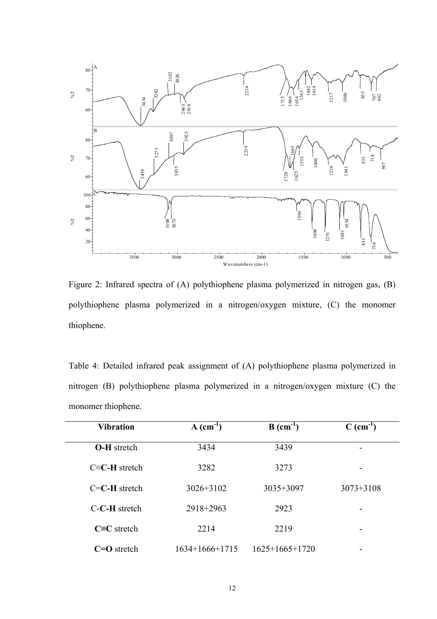

Figure 2: Infrared spectra of (A) polythiophene plasma polymerized in nitrogen gas, (B) polythiophene plasma polymerized in a nitrogen/oxygen mixture, (C) the monomer thiophene.

Table 4: Detailed infrared peak assignment of (A) polythiophene plasma polymerized in nitrogen (B) polythiophene plasma polymerized in a nitrogen/oxygen mixture (C) the monomer thiophene.

| <b>Vibration</b>        | $A$ (cm <sup>-1</sup> ) | $B$ (cm <sup>-1</sup> ) | $C$ (cm <sup>-1</sup> ) |
|-------------------------|-------------------------|-------------------------|-------------------------|
| <b>O-H</b> stretch      | 3434                    | 3439                    |                         |
| $C\equiv C$ -H stretch  | 3282                    | 3273                    |                         |
| $C=C-H$ stretch         | $3026 + 3102$           | $3035 + 3097$           | $3073 + 3108$           |
| $C$ - $C$ - $H$ stretch | 2918+2963               | 2923                    | ۰                       |
| $C \equiv C$ stretch    | 2214                    | 2219                    | -                       |
| $C=O$ stretch           | $1634+1666+1715$        | $1625+1665+1720$        |                         |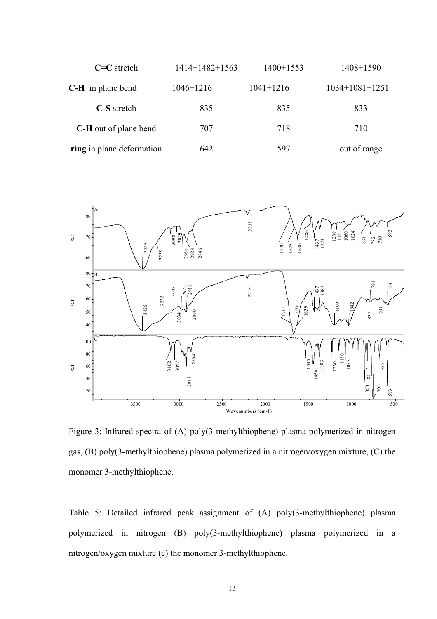| $C=C$ stretch                | $1414+1482+1563$ | $1400+1553$   | $1408 + 1590$    |
|------------------------------|------------------|---------------|------------------|
| <b>C-H</b> in plane bend     | $1046 + 1216$    | $1041 + 1216$ | $1034+1081+1251$ |
| C-S stretch                  | 835              | 835           | 833              |
| <b>C-H</b> out of plane bend | 707              | 718           | 710              |
| ring in plane deformation    | 642              | 597           | out of range     |
|                              |                  |               |                  |



Figure 3: Infrared spectra of (A) poly(3-methylthiophene) plasma polymerized in nitrogen gas, (B) poly(3-methylthiophene) plasma polymerized in a nitrogen/oxygen mixture, (C) the monomer 3-methylthiophene.

Table 5: Detailed infrared peak assignment of (A) poly(3-methylthiophene) plasma polymerized in nitrogen (B) poly(3-methylthiophene) plasma polymerized in a nitrogen/oxygen mixture (c) the monomer 3-methylthiophene.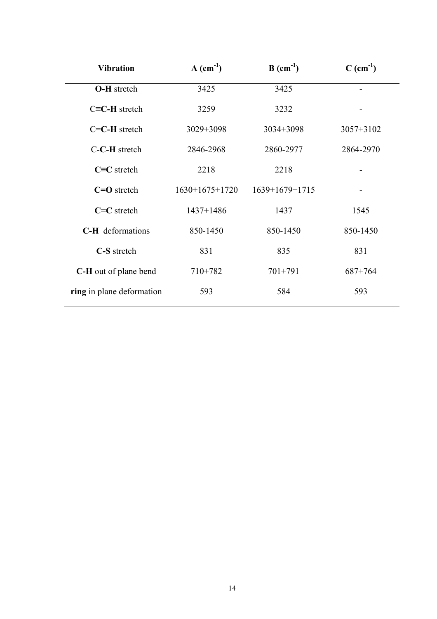| <b>Vibration</b>          | $A$ (cm <sup>-1</sup> ) | $B$ (cm <sup>-1</sup> ) | $C$ (cm <sup>-1</sup> ) |
|---------------------------|-------------------------|-------------------------|-------------------------|
| <b>O-H</b> stretch        | 3425                    | 3425                    |                         |
| $C = C - H$ stretch       | 3259                    | 3232                    |                         |
| $C = C - H$ stretch       | $3029 + 3098$           | $3034 + 3098$           | $3057 + 3102$           |
| C-C-H stretch             | 2846-2968               | 2860-2977               | 2864-2970               |
| $C=C$ stretch             | 2218                    | 2218                    |                         |
| $C = O$ stretch           | $1630+1675+1720$        | $1639+1679+1715$        |                         |
| $C=C$ stretch             | $1437 + 1486$           | 1437                    | 1545                    |
| <b>C-H</b> deformations   | 850-1450                | 850-1450                | 850-1450                |
| C-S stretch               | 831                     | 835                     | 831                     |
| C-H out of plane bend     | $710+782$               | $701 + 791$             | $687 + 764$             |
| ring in plane deformation | 593                     | 584                     | 593                     |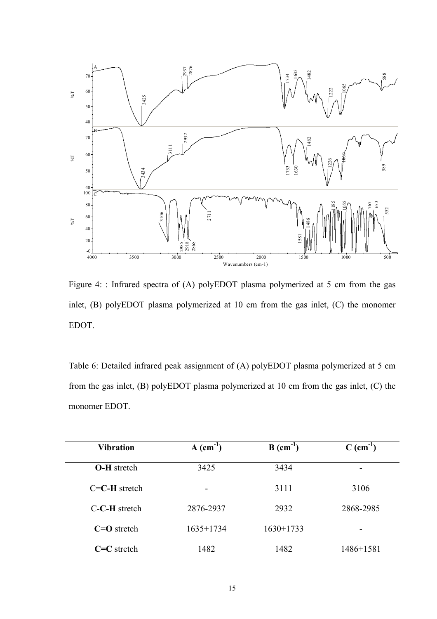

Figure 4: : Infrared spectra of (A) polyEDOT plasma polymerized at 5 cm from the gas inlet, (B) polyEDOT plasma polymerized at 10 cm from the gas inlet, (C) the monomer EDOT.

Table 6: Detailed infrared peak assignment of (A) polyEDOT plasma polymerized at 5 cm from the gas inlet, (B) polyEDOT plasma polymerized at 10 cm from the gas inlet, (C) the monomer EDOT.

| <b>Vibration</b>    | $A$ (cm <sup>-1</sup> ) | $B$ (cm <sup>-1</sup> ) | $C$ (cm <sup>-1</sup> ) |
|---------------------|-------------------------|-------------------------|-------------------------|
| <b>O-H</b> stretch  | 3425                    | 3434                    |                         |
| $C = C - H$ stretch | -                       | 3111                    | 3106                    |
| C-C-H stretch       | 2876-2937               | 2932                    | 2868-2985               |
| $C=O$ stretch       | $1635+1734$             | $1630+1733$             | -                       |
| $C=C$ stretch       | 1482                    | 1482                    | 1486+1581               |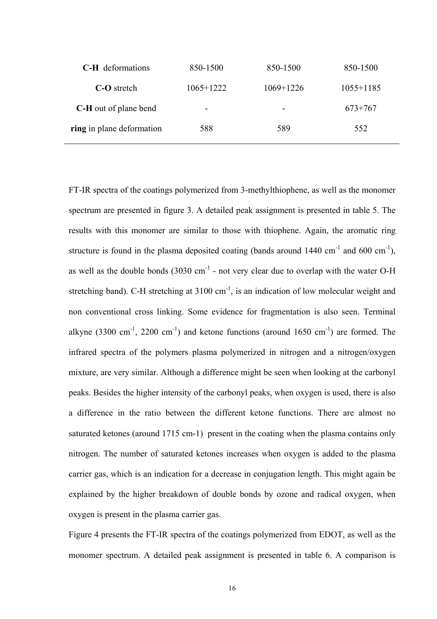| <b>C-H</b> deformations      | 850-1500    | 850-1500                 | 850-1500      |
|------------------------------|-------------|--------------------------|---------------|
| <b>C-O</b> stretch           | $1065+1222$ | $1069+1226$              | $1055 + 1185$ |
| <b>C-H</b> out of plane bend | -           | $\overline{\phantom{a}}$ | $673+767$     |
| ring in plane deformation    | 588         | 589                      | 552           |

FT-IR spectra of the coatings polymerized from 3-methylthiophene, as well as the monomer spectrum are presented in figure 3. A detailed peak assignment is presented in table 5. The results with this monomer are similar to those with thiophene. Again, the aromatic ring structure is found in the plasma deposited coating (bands around  $1440 \text{ cm}^{-1}$  and  $600 \text{ cm}^{-1}$ ), as well as the double bonds  $(3030 \text{ cm}^{-1}$  - not very clear due to overlap with the water O-H stretching band). C-H stretching at  $3100 \text{ cm}^{-1}$ , is an indication of low molecular weight and non conventional cross linking. Some evidence for fragmentation is also seen. Terminal alkyne (3300 cm<sup>-1</sup>, 2200 cm<sup>-1</sup>) and ketone functions (around 1650 cm<sup>-1</sup>) are formed. The infrared spectra of the polymers plasma polymerized in nitrogen and a nitrogen/oxygen mixture, are very similar. Although a difference might be seen when looking at the carbonyl peaks. Besides the higher intensity of the carbonyl peaks, when oxygen is used, there is also a difference in the ratio between the different ketone functions. There are almost no saturated ketones (around 1715 cm-1) present in the coating when the plasma contains only nitrogen. The number of saturated ketones increases when oxygen is added to the plasma carrier gas, which is an indication for a decrease in conjugation length. This might again be explained by the higher breakdown of double bonds by ozone and radical oxygen, when oxygen is present in the plasma carrier gas.

Figure 4 presents the FT-IR spectra of the coatings polymerized from EDOT, as well as the monomer spectrum. A detailed peak assignment is presented in table 6. A comparison is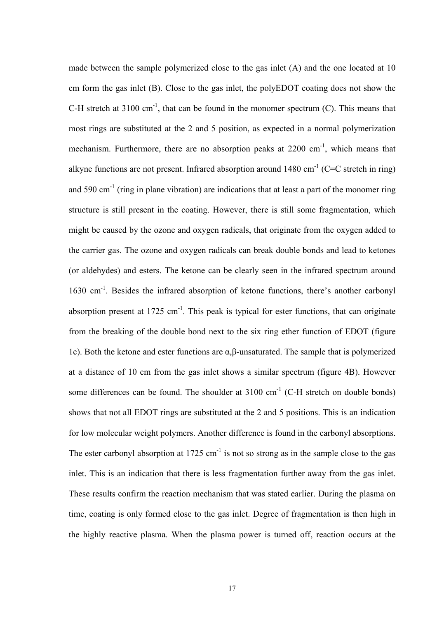made between the sample polymerized close to the gas inlet (A) and the one located at 10 cm form the gas inlet (B). Close to the gas inlet, the polyEDOT coating does not show the C-H stretch at 3100 cm<sup>-1</sup>, that can be found in the monomer spectrum (C). This means that most rings are substituted at the 2 and 5 position, as expected in a normal polymerization mechanism. Furthermore, there are no absorption peaks at  $2200 \text{ cm}^{-1}$ , which means that alkyne functions are not present. Infrared absorption around  $1480 \text{ cm}^{-1}$  (C=C stretch in ring) and 590  $cm^{-1}$  (ring in plane vibration) are indications that at least a part of the monomer ring structure is still present in the coating. However, there is still some fragmentation, which might be caused by the ozone and oxygen radicals, that originate from the oxygen added to the carrier gas. The ozone and oxygen radicals can break double bonds and lead to ketones (or aldehydes) and esters. The ketone can be clearly seen in the infrared spectrum around 1630 cm<sup>-1</sup>. Besides the infrared absorption of ketone functions, there's another carbonyl absorption present at  $1725 \text{ cm}^{-1}$ . This peak is typical for ester functions, that can originate from the breaking of the double bond next to the six ring ether function of EDOT (figure 1c). Both the ketone and ester functions are α,β-unsaturated. The sample that is polymerized at a distance of 10 cm from the gas inlet shows a similar spectrum (figure 4B). However some differences can be found. The shoulder at  $3100 \text{ cm}^{-1}$  (C-H stretch on double bonds) shows that not all EDOT rings are substituted at the 2 and 5 positions. This is an indication for low molecular weight polymers. Another difference is found in the carbonyl absorptions. The ester carbonyl absorption at  $1725 \text{ cm}^{-1}$  is not so strong as in the sample close to the gas inlet. This is an indication that there is less fragmentation further away from the gas inlet. These results confirm the reaction mechanism that was stated earlier. During the plasma on time, coating is only formed close to the gas inlet. Degree of fragmentation is then high in the highly reactive plasma. When the plasma power is turned off, reaction occurs at the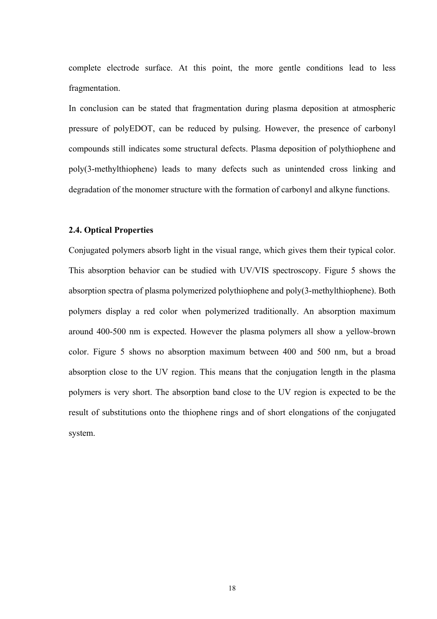complete electrode surface. At this point, the more gentle conditions lead to less fragmentation.

In conclusion can be stated that fragmentation during plasma deposition at atmospheric pressure of polyEDOT, can be reduced by pulsing. However, the presence of carbonyl compounds still indicates some structural defects. Plasma deposition of polythiophene and poly(3-methylthiophene) leads to many defects such as unintended cross linking and degradation of the monomer structure with the formation of carbonyl and alkyne functions.

### **2.4. Optical Properties**

Conjugated polymers absorb light in the visual range, which gives them their typical color. This absorption behavior can be studied with UV/VIS spectroscopy. Figure 5 shows the absorption spectra of plasma polymerized polythiophene and poly(3-methylthiophene). Both polymers display a red color when polymerized traditionally. An absorption maximum around 400-500 nm is expected. However the plasma polymers all show a yellow-brown color. Figure 5 shows no absorption maximum between 400 and 500 nm, but a broad absorption close to the UV region. This means that the conjugation length in the plasma polymers is very short. The absorption band close to the UV region is expected to be the result of substitutions onto the thiophene rings and of short elongations of the conjugated system.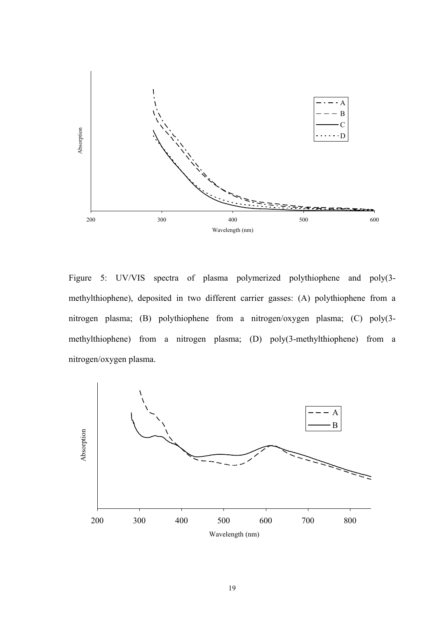

Figure 5: UV/VIS spectra of plasma polymerized polythiophene and poly(3 methylthiophene), deposited in two different carrier gasses: (A) polythiophene from a nitrogen plasma; (B) polythiophene from a nitrogen/oxygen plasma; (C) poly(3 methylthiophene) from a nitrogen plasma; (D) poly(3-methylthiophene) from a nitrogen/oxygen plasma.

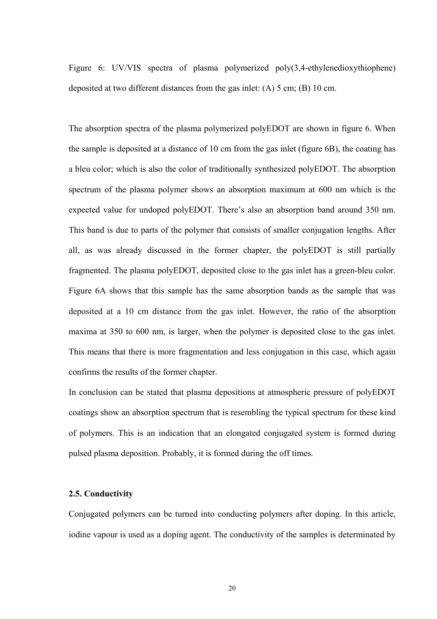Figure 6: UV/VIS spectra of plasma polymerized poly(3,4-ethylenedioxythiophene) deposited at two different distances from the gas inlet: (A) 5 cm; (B) 10 cm.

The absorption spectra of the plasma polymerized polyEDOT are shown in figure 6. When the sample is deposited at a distance of 10 cm from the gas inlet (figure 6B), the coating has a bleu color; which is also the color of traditionally synthesized polyEDOT. The absorption spectrum of the plasma polymer shows an absorption maximum at 600 nm which is the expected value for undoped polyEDOT. There's also an absorption band around 350 nm. This band is due to parts of the polymer that consists of smaller conjugation lengths. After all, as was already discussed in the former chapter, the polyEDOT is still partially fragmented. The plasma polyEDOT, deposited close to the gas inlet has a green-bleu color. Figure 6A shows that this sample has the same absorption bands as the sample that was deposited at a 10 cm distance from the gas inlet. However, the ratio of the absorption maxima at 350 to 600 nm, is larger, when the polymer is deposited close to the gas inlet. This means that there is more fragmentation and less conjugation in this case, which again confirms the results of the former chapter.

In conclusion can be stated that plasma depositions at atmospheric pressure of polyEDOT coatings show an absorption spectrum that is resembling the typical spectrum for these kind of polymers. This is an indication that an elongated conjugated system is formed during pulsed plasma deposition. Probably, it is formed during the off times.

#### **2.5. Conductivity**

Conjugated polymers can be turned into conducting polymers after doping. In this article, iodine vapour is used as a doping agent. The conductivity of the samples is determinated by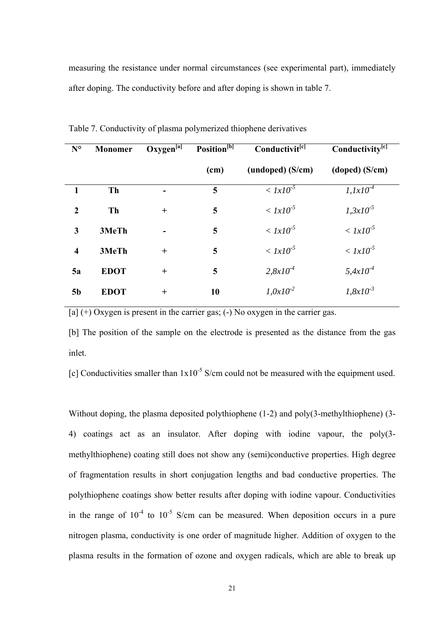measuring the resistance under normal circumstances (see experimental part), immediately after doping. The conductivity before and after doping is shown in table 7.

| $N^{\circ}$             | Monomer     | $Oxygen^{[a]}$ | Position <sup>[b]</sup> | Conductivit <sup>[c]</sup> | Conductivity <sup>[c]</sup> |
|-------------------------|-------------|----------------|-------------------------|----------------------------|-----------------------------|
|                         |             |                | (cm)                    | (undoped) (S/cm)           | (doped) (S/cm)              |
|                         | <b>Th</b>   |                | 5                       | $\langle 1x10^{-5}$        | $1,1x10-7$                  |
| $\overline{2}$          | Th          | $+$            | 5                       | $\langle 1x10^{-5}$        | $1,3x10^{-5}$               |
| 3                       | 3MeTh       |                | 5                       | $\langle 1x10^{-5}$        | $\langle 1x10^{-5}$         |
| $\overline{\mathbf{4}}$ | 3MeTh       | $+$            | 5                       | $\langle 1x10^{-5}$        | $< Ix10^{-5}$               |
| 5a                      | <b>EDOT</b> | $+$            | 5                       | $2,8x10^{-4}$              | $5,4x10^{4}$                |
| 5 <sub>b</sub>          | <b>EDOT</b> | $+$            | 10                      | $1,0x10^{2}$               | $1,8x10^{-3}$               |

Table 7. Conductivity of plasma polymerized thiophene derivatives

 $[a]$  (+) Oxygen is present in the carrier gas; (-) No oxygen in the carrier gas.

[b] The position of the sample on the electrode is presented as the distance from the gas inlet.

[c] Conductivities smaller than  $1x10^{-5}$  S/cm could not be measured with the equipment used.

Without doping, the plasma deposited polythiophene (1-2) and poly(3-methylthiophene) (3- 4) coatings act as an insulator. After doping with iodine vapour, the poly(3 methylthiophene) coating still does not show any (semi)conductive properties. High degree of fragmentation results in short conjugation lengths and bad conductive properties. The polythiophene coatings show better results after doping with iodine vapour. Conductivities in the range of  $10^{-4}$  to  $10^{-5}$  S/cm can be measured. When deposition occurs in a pure nitrogen plasma, conductivity is one order of magnitude higher. Addition of oxygen to the plasma results in the formation of ozone and oxygen radicals, which are able to break up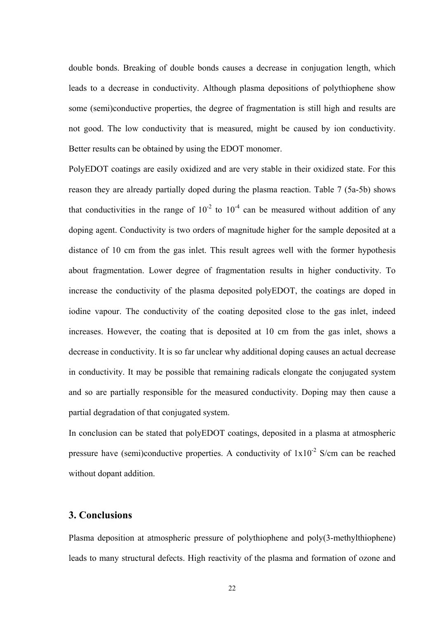double bonds. Breaking of double bonds causes a decrease in conjugation length, which leads to a decrease in conductivity. Although plasma depositions of polythiophene show some (semi)conductive properties, the degree of fragmentation is still high and results are not good. The low conductivity that is measured, might be caused by ion conductivity. Better results can be obtained by using the EDOT monomer.

PolyEDOT coatings are easily oxidized and are very stable in their oxidized state. For this reason they are already partially doped during the plasma reaction. Table 7 (5a-5b) shows that conductivities in the range of  $10^{-2}$  to  $10^{-4}$  can be measured without addition of any doping agent. Conductivity is two orders of magnitude higher for the sample deposited at a distance of 10 cm from the gas inlet. This result agrees well with the former hypothesis about fragmentation. Lower degree of fragmentation results in higher conductivity. To increase the conductivity of the plasma deposited polyEDOT, the coatings are doped in iodine vapour. The conductivity of the coating deposited close to the gas inlet, indeed increases. However, the coating that is deposited at 10 cm from the gas inlet, shows a decrease in conductivity. It is so far unclear why additional doping causes an actual decrease in conductivity. It may be possible that remaining radicals elongate the conjugated system and so are partially responsible for the measured conductivity. Doping may then cause a partial degradation of that conjugated system.

In conclusion can be stated that polyEDOT coatings, deposited in a plasma at atmospheric pressure have (semi)conductive properties. A conductivity of  $1x10^{-2}$  S/cm can be reached without dopant addition.

# **3. Conclusions**

Plasma deposition at atmospheric pressure of polythiophene and poly(3-methylthiophene) leads to many structural defects. High reactivity of the plasma and formation of ozone and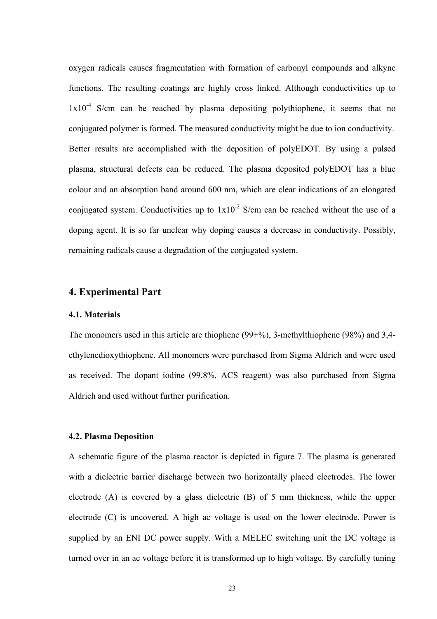oxygen radicals causes fragmentation with formation of carbonyl compounds and alkyne functions. The resulting coatings are highly cross linked. Although conductivities up to  $1x10^{-4}$  S/cm can be reached by plasma depositing polythiophene, it seems that no conjugated polymer is formed. The measured conductivity might be due to ion conductivity. Better results are accomplished with the deposition of polyEDOT. By using a pulsed plasma, structural defects can be reduced. The plasma deposited polyEDOT has a blue colour and an absorption band around 600 nm, which are clear indications of an elongated conjugated system. Conductivities up to  $1x10^{-2}$  S/cm can be reached without the use of a doping agent. It is so far unclear why doping causes a decrease in conductivity. Possibly, remaining radicals cause a degradation of the conjugated system.

### **4. Experimental Part**

#### **4.1. Materials**

The monomers used in this article are thiophene (99+%), 3-methylthiophene (98%) and 3,4 ethylenedioxythiophene. All monomers were purchased from Sigma Aldrich and were used as received. The dopant iodine (99.8%, ACS reagent) was also purchased from Sigma Aldrich and used without further purification.

#### **4.2. Plasma Deposition**

A schematic figure of the plasma reactor is depicted in figure 7. The plasma is generated with a dielectric barrier discharge between two horizontally placed electrodes. The lower electrode (A) is covered by a glass dielectric (B) of 5 mm thickness, while the upper electrode (C) is uncovered. A high ac voltage is used on the lower electrode. Power is supplied by an ENI DC power supply. With a MELEC switching unit the DC voltage is turned over in an ac voltage before it is transformed up to high voltage. By carefully tuning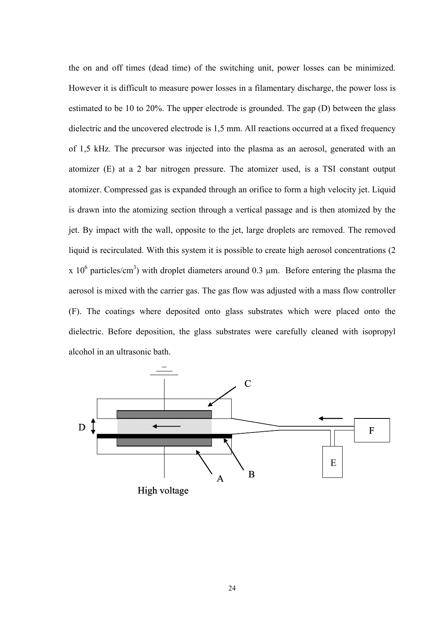the on and off times (dead time) of the switching unit, power losses can be minimized. However it is difficult to measure power losses in a filamentary discharge, the power loss is estimated to be 10 to 20%. The upper electrode is grounded. The gap (D) between the glass dielectric and the uncovered electrode is 1,5 mm. All reactions occurred at a fixed frequency of 1,5 kHz. The precursor was injected into the plasma as an aerosol, generated with an atomizer (E) at a 2 bar nitrogen pressure. The atomizer used, is a TSI constant output atomizer. Compressed gas is expanded through an orifice to form a high velocity jet. Liquid is drawn into the atomizing section through a vertical passage and is then atomized by the jet. By impact with the wall, opposite to the jet, large droplets are removed. The removed liquid is recirculated. With this system it is possible to create high aerosol concentrations (2 x 10<sup>6</sup> particles/cm<sup>3</sup>) with droplet diameters around 0.3  $\mu$ m. Before entering the plasma the aerosol is mixed with the carrier gas. The gas flow was adjusted with a mass flow controller (F). The coatings where deposited onto glass substrates which were placed onto the dielectric. Before deposition, the glass substrates were carefully cleaned with isopropyl alcohol in an ultrasonic bath.

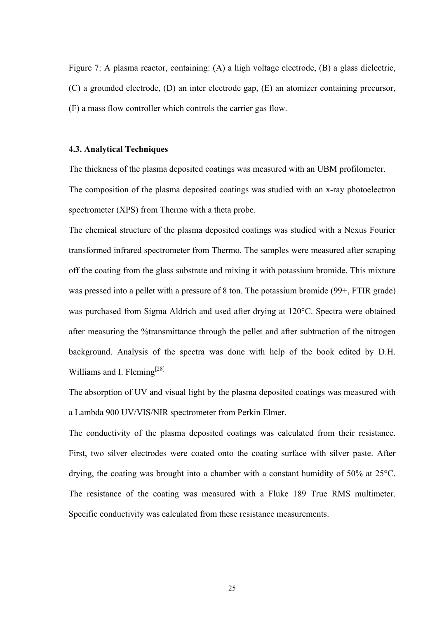Figure 7: A plasma reactor, containing: (A) a high voltage electrode, (B) a glass dielectric, (C) a grounded electrode, (D) an inter electrode gap, (E) an atomizer containing precursor, (F) a mass flow controller which controls the carrier gas flow.

## **4.3. Analytical Techniques**

The thickness of the plasma deposited coatings was measured with an UBM profilometer.

The composition of the plasma deposited coatings was studied with an x-ray photoelectron spectrometer (XPS) from Thermo with a theta probe.

The chemical structure of the plasma deposited coatings was studied with a Nexus Fourier transformed infrared spectrometer from Thermo. The samples were measured after scraping off the coating from the glass substrate and mixing it with potassium bromide. This mixture was pressed into a pellet with a pressure of 8 ton. The potassium bromide (99+, FTIR grade) was purchased from Sigma Aldrich and used after drying at 120°C. Spectra were obtained after measuring the %transmittance through the pellet and after subtraction of the nitrogen background. Analysis of the spectra was done with help of the book edited by D.H. Williams and I. Fleming<sup>[28]</sup>

The absorption of UV and visual light by the plasma deposited coatings was measured with a Lambda 900 UV/VIS/NIR spectrometer from Perkin Elmer.

The conductivity of the plasma deposited coatings was calculated from their resistance. First, two silver electrodes were coated onto the coating surface with silver paste. After drying, the coating was brought into a chamber with a constant humidity of 50% at 25°C. The resistance of the coating was measured with a Fluke 189 True RMS multimeter. Specific conductivity was calculated from these resistance measurements.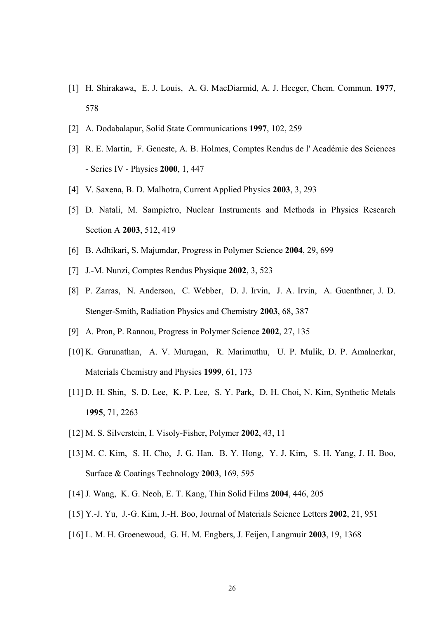- [1] H. Shirakawa, E. J. Louis, A. G. MacDiarmid, A. J. Heeger, Chem. Commun. **1977**, 578
- [2] A. Dodabalapur, Solid State Communications **1997**, 102, 259
- [3] R. E. Martin, F. Geneste, A. B. Holmes, Comptes Rendus de l' Académie des Sciences - Series IV - Physics **2000**, 1, 447
- [4] V. Saxena, B. D. Malhotra, Current Applied Physics **2003**, 3, 293
- [5] D. Natali, M. Sampietro, Nuclear Instruments and Methods in Physics Research Section A **2003**, 512, 419
- [6] B. Adhikari, S. Majumdar, Progress in Polymer Science **2004**, 29, 699
- [7] J.-M. Nunzi, Comptes Rendus Physique **2002**, 3, 523
- [8] P. Zarras, N. Anderson, C. Webber, D. J. Irvin, J. A. Irvin, A. Guenthner, J. D. Stenger-Smith, Radiation Physics and Chemistry **2003**, 68, 387
- [9] A. Pron, P. Rannou, Progress in Polymer Science **2002**, 27, 135
- [10] K. Gurunathan, A. V. Murugan, R. Marimuthu, U. P. Mulik, D. P. Amalnerkar, Materials Chemistry and Physics **1999**, 61, 173
- [11] D. H. Shin, S. D. Lee, K. P. Lee, S. Y. Park, D. H. Choi, N. Kim, Synthetic Metals **1995**, 71, 2263
- [12] M. S. Silverstein, I. Visoly-Fisher, Polymer **2002**, 43, 11
- [13] M. C. Kim, S. H. Cho, J. G. Han, B. Y. Hong, Y. J. Kim, S. H. Yang, J. H. Boo, Surface & Coatings Technology **2003**, 169, 595
- [14] J. Wang, K. G. Neoh, E. T. Kang, Thin Solid Films **2004**, 446, 205
- [15] Y.-J. Yu, J.-G. Kim, J.-H. Boo, Journal of Materials Science Letters **2002**, 21, 951
- [16] L. M. H. Groenewoud, G. H. M. Engbers, J. Feijen, Langmuir **2003**, 19, 1368